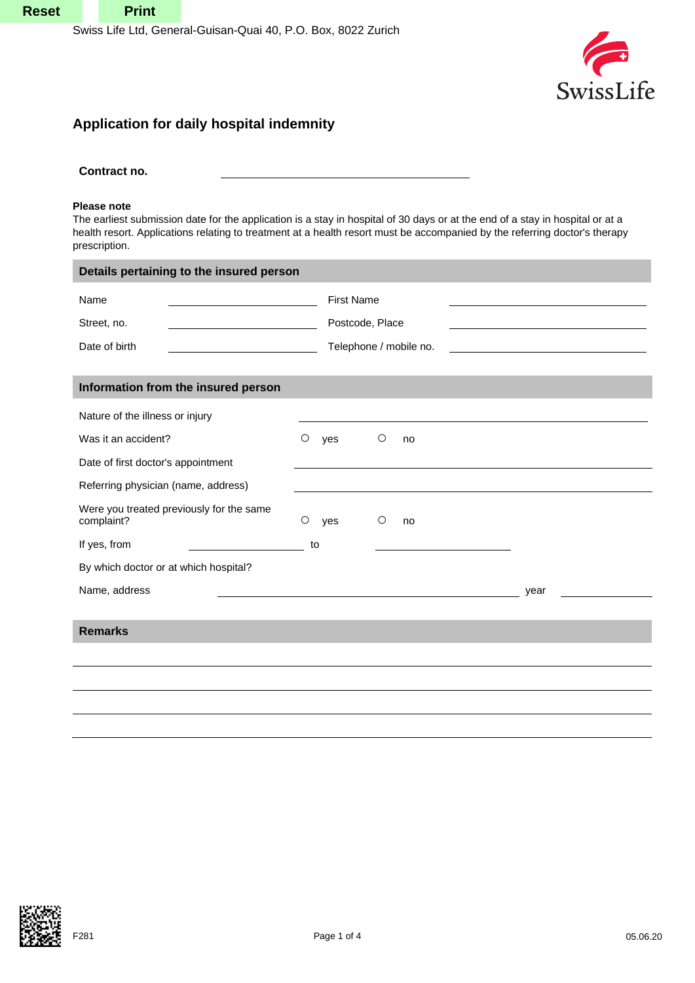

# **Application for daily hospital indemnity**

# **Contract no.**

#### **Please note**

| Application for daily hospital indemnity                                                                                                                                                                                                                                                    |                   |                        |      |  |
|---------------------------------------------------------------------------------------------------------------------------------------------------------------------------------------------------------------------------------------------------------------------------------------------|-------------------|------------------------|------|--|
| Contract no.                                                                                                                                                                                                                                                                                |                   |                        |      |  |
| Please note<br>The earliest submission date for the application is a stay in hospital of 30 days or at the end of a stay in hospital or at a<br>health resort. Applications relating to treatment at a health resort must be accompanied by the referring doctor's therapy<br>prescription. |                   |                        |      |  |
| Details pertaining to the insured person                                                                                                                                                                                                                                                    |                   |                        |      |  |
| Name                                                                                                                                                                                                                                                                                        | <b>First Name</b> |                        |      |  |
| Street, no.                                                                                                                                                                                                                                                                                 |                   | Postcode, Place        |      |  |
| Date of birth                                                                                                                                                                                                                                                                               |                   | Telephone / mobile no. |      |  |
| Information from the insured person                                                                                                                                                                                                                                                         |                   |                        |      |  |
| Nature of the illness or injury                                                                                                                                                                                                                                                             |                   |                        |      |  |
| Was it an accident?                                                                                                                                                                                                                                                                         | $\circ$<br>yes    | $\circ$<br>no          |      |  |
| Date of first doctor's appointment                                                                                                                                                                                                                                                          |                   |                        |      |  |
| Referring physician (name, address)                                                                                                                                                                                                                                                         |                   |                        |      |  |
| Were you treated previously for the same<br>complaint?                                                                                                                                                                                                                                      | $\circ$<br>yes    | $\circ$<br>no          |      |  |
| If yes, from                                                                                                                                                                                                                                                                                | to                |                        |      |  |
| By which doctor or at which hospital?                                                                                                                                                                                                                                                       |                   |                        |      |  |
| Name, address                                                                                                                                                                                                                                                                               |                   |                        | year |  |
| <b>Remarks</b>                                                                                                                                                                                                                                                                              |                   |                        |      |  |
|                                                                                                                                                                                                                                                                                             |                   |                        |      |  |
|                                                                                                                                                                                                                                                                                             |                   |                        |      |  |
|                                                                                                                                                                                                                                                                                             |                   |                        |      |  |
|                                                                                                                                                                                                                                                                                             |                   |                        |      |  |
|                                                                                                                                                                                                                                                                                             |                   |                        |      |  |
|                                                                                                                                                                                                                                                                                             |                   |                        |      |  |
|                                                                                                                                                                                                                                                                                             |                   |                        |      |  |
|                                                                                                                                                                                                                                                                                             |                   |                        |      |  |

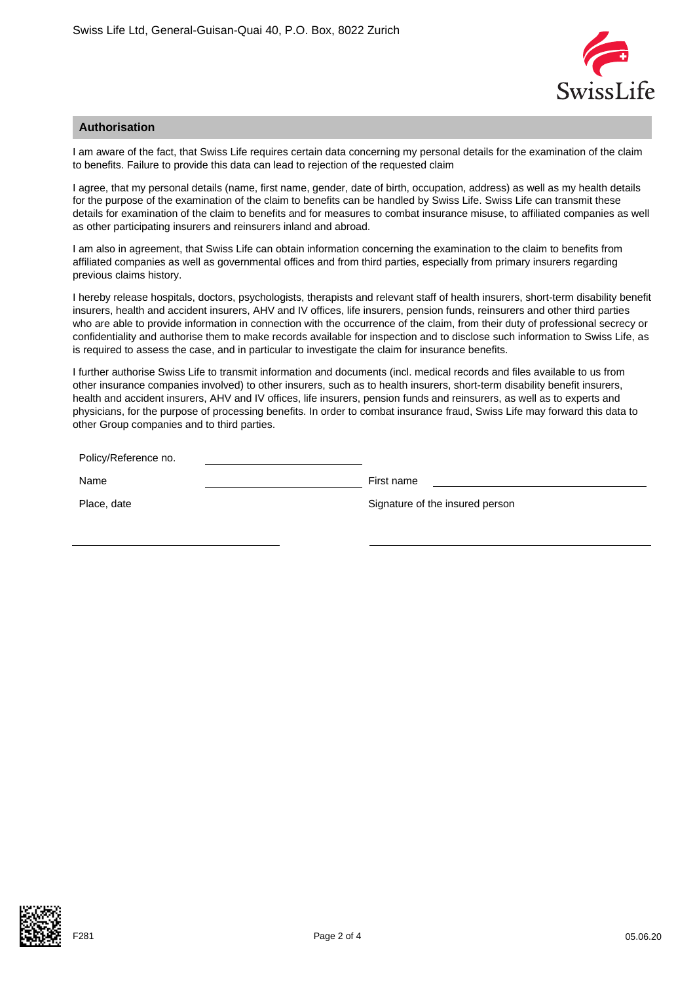

## **Authorisation**

I am aware of the fact, that Swiss Life requires certain data concerning my personal details for the examination of the claim to benefits. Failure to provide this data can lead to rejection of the requested claim

I agree, that my personal details (name, first name, gender, date of birth, occupation, address) as well as my health details for the purpose of the examination of the claim to benefits can be handled by Swiss Life. Swiss Life can transmit these details for examination of the claim to benefits and for measures to combat insurance misuse, to affiliated companies as well as other participating insurers and reinsurers inland and abroad.

I am also in agreement, that Swiss Life can obtain information concerning the examination to the claim to benefits from affiliated companies as well as governmental offices and from third parties, especially from primary insurers regarding previous claims history.

I hereby release hospitals, doctors, psychologists, therapists and relevant staff of health insurers, short-term disability benefit insurers, health and accident insurers, AHV and IV offices, life insurers, pension funds, reinsurers and other third parties who are able to provide information in connection with the occurrence of the claim, from their duty of professional secrecy or confidentiality and authorise them to make records available for inspection and to disclose such information to Swiss Life, as is required to assess the case, and in particular to investigate the claim for insurance benefits.

I further authorise Swiss Life to transmit information and documents (incl. medical records and files available to us from other insurance companies involved) to other insurers, such as to health insurers, short-term disability benefit insurers, health and accident insurers, AHV and IV offices, life insurers, pension funds and reinsurers, as well as to experts and physicians, for the purpose of processing benefits. In order to combat insurance fraud, Swiss Life may forward this data to other Group companies and to third parties.

| Policy/Reference no. |                                 |
|----------------------|---------------------------------|
| Name                 | First name                      |
| Place, date          | Signature of the insured person |

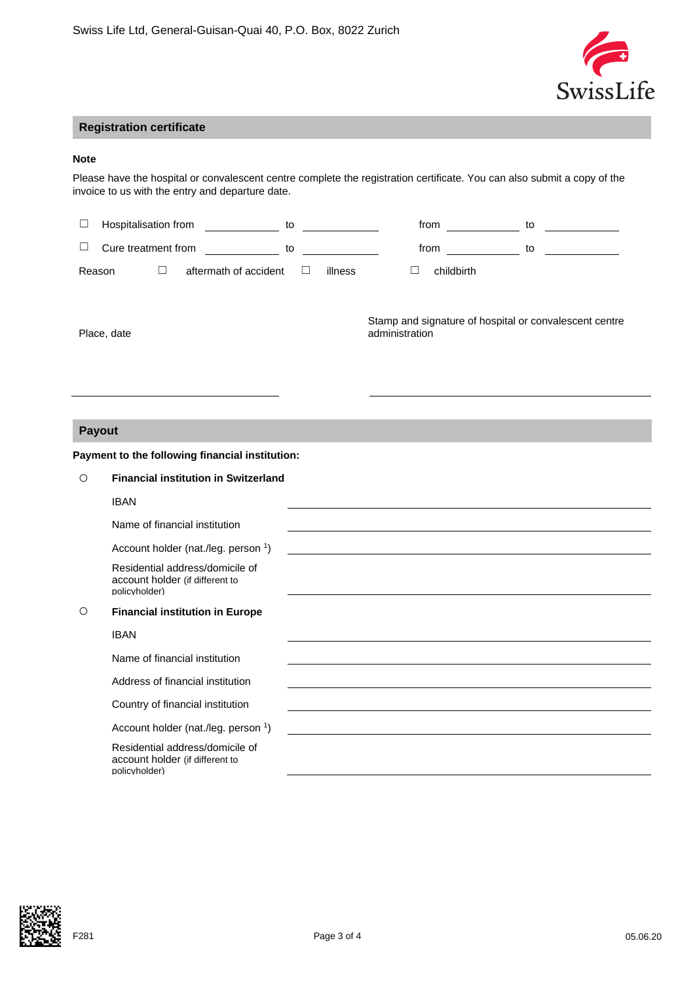

## **Registration certificate**

#### **Note**

Please have the hospital or convalescent centre complete the registration certificate. You can also submit a copy of the invoice to us with the entry and departure date.

|        | Hospitalisation from | to                    |         | from       | to |
|--------|----------------------|-----------------------|---------|------------|----|
|        | Cure treatment from  | to                    |         | from       | to |
| Reason |                      | aftermath of accident | illness | childbirth |    |

Place, date

Stamp and signature of hospital or convalescent centre administration

## **Payout**

# **Payment to the following financial institution:**

| O       | <b>Financial institution in Switzerland</b>                                         |  |
|---------|-------------------------------------------------------------------------------------|--|
|         | <b>IBAN</b>                                                                         |  |
|         | Name of financial institution                                                       |  |
|         | Account holder (nat./leg. person 1)                                                 |  |
|         | Residential address/domicile of<br>account holder (if different to<br>policyholder) |  |
| $\circ$ | <b>Financial institution in Europe</b>                                              |  |
|         | <b>IBAN</b>                                                                         |  |
|         | Name of financial institution                                                       |  |
|         | Address of financial institution                                                    |  |
|         | Country of financial institution                                                    |  |
|         | Account holder (nat./leg. person 1)                                                 |  |
|         | Residential address/domicile of<br>account holder (if different to<br>policyholder) |  |